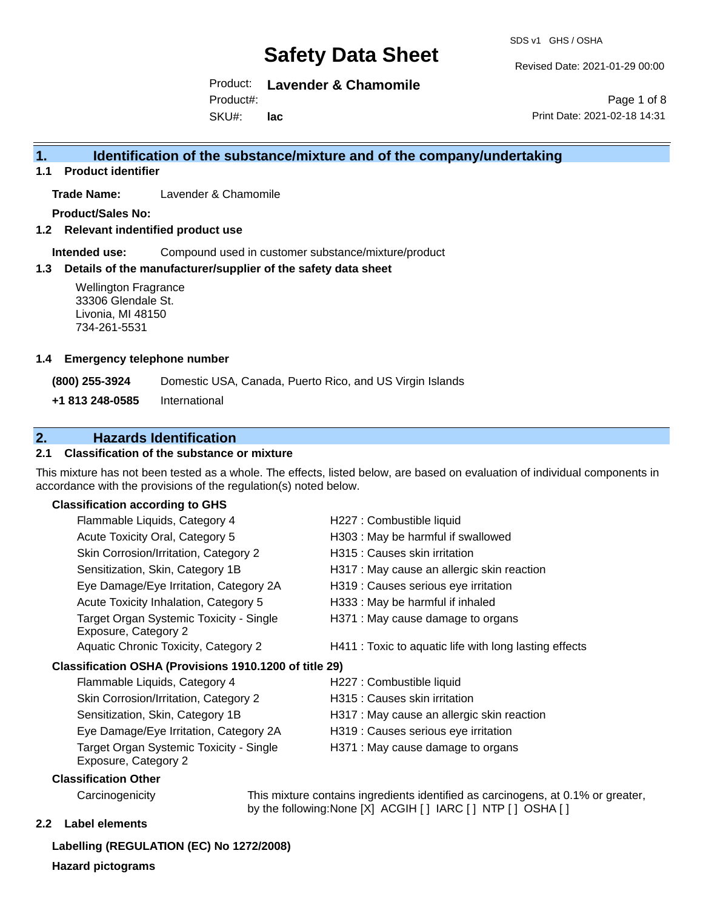SDS v1 GHS / OSHA

Revised Date: 2021-01-29 00:00

Product: **Lavender & Chamomile** Product#:

SKU#: **lac**

Page 1 of 8 Print Date: 2021-02-18 14:31

## **1. Identification of the substance/mixture and of the company/undertaking**

**1.1 Product identifier**

**Trade Name:** Lavender & Chamomile

**Product/Sales No:**

**1.2 Relevant indentified product use**

**Intended use:** Compound used in customer substance/mixture/product

#### **1.3 Details of the manufacturer/supplier of the safety data sheet**

Wellington Fragrance 33306 Glendale St. Livonia, MI 48150 734-261-5531

#### **1.4 Emergency telephone number**

**(800) 255-3924** Domestic USA, Canada, Puerto Rico, and US Virgin Islands

**+1 813 248-0585** International

## **2. Hazards Identification**

### **2.1 Classification of the substance or mixture**

This mixture has not been tested as a whole. The effects, listed below, are based on evaluation of individual components in accordance with the provisions of the regulation(s) noted below.

#### **Classification according to GHS**

|                                                        | Flammable Liquids, Category 4                                   | H227 : Combustible liquid                              |
|--------------------------------------------------------|-----------------------------------------------------------------|--------------------------------------------------------|
|                                                        | Acute Toxicity Oral, Category 5                                 | H303 : May be harmful if swallowed                     |
|                                                        | Skin Corrosion/Irritation, Category 2                           | H315 : Causes skin irritation                          |
|                                                        | Sensitization, Skin, Category 1B                                | H317 : May cause an allergic skin reaction             |
|                                                        | Eye Damage/Eye Irritation, Category 2A                          | H319 : Causes serious eye irritation                   |
|                                                        | Acute Toxicity Inhalation, Category 5                           | H333: May be harmful if inhaled                        |
|                                                        | Target Organ Systemic Toxicity - Single<br>Exposure, Category 2 | H371 : May cause damage to organs                      |
|                                                        | Aquatic Chronic Toxicity, Category 2                            | H411 : Toxic to aquatic life with long lasting effects |
| Classification OSHA (Provisions 1910.1200 of title 29) |                                                                 |                                                        |
|                                                        | Flammable Liquids, Category 4                                   | H227 : Combustible liquid                              |
|                                                        | Skin Corrosion/Irritation, Category 2                           | H315 : Causes skin irritation                          |
|                                                        | Sensitization, Skin, Category 1B                                | H317 : May cause an allergic skin reaction             |
|                                                        | Eye Damage/Eye Irritation, Category 2A                          | H319 : Causes serious eye irritation                   |
|                                                        | Target Organ Systemic Toxicity - Single<br>Exposure, Category 2 | H371 : May cause damage to organs                      |
|                                                        |                                                                 |                                                        |

#### **Classification Other**

Carcinogenicity This mixture contains ingredients identified as carcinogens, at 0.1% or greater, by the following:None [X] ACGIH [ ] IARC [ ] NTP [ ] OSHA [ ]

### **2.2 Label elements**

**Labelling (REGULATION (EC) No 1272/2008) Hazard pictograms**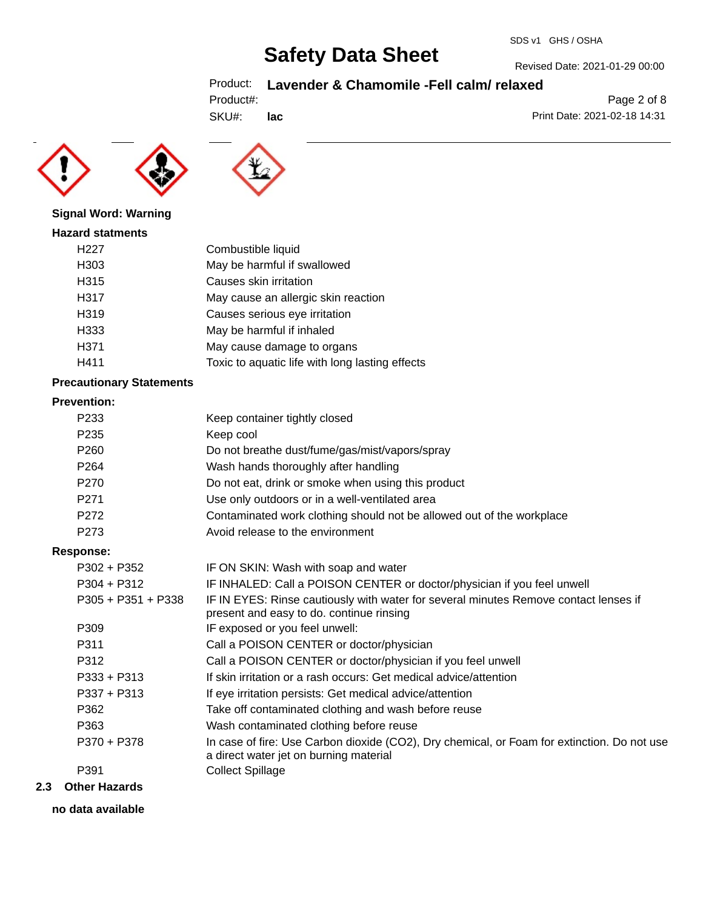## Product: **Lavender & Chamomile -Fell calm/ relaxed**

|  | Product#: |  |
|--|-----------|--|
|  |           |  |

SKU#: **lac**





#### **Signal Word: Warning**

#### **Hazard statments**

| H <sub>22</sub> 7 | Combustible liquid                              |
|-------------------|-------------------------------------------------|
| H303              | May be harmful if swallowed                     |
| H <sub>315</sub>  | Causes skin irritation                          |
| H317              | May cause an allergic skin reaction             |
| H319              | Causes serious eye irritation                   |
| H333              | May be harmful if inhaled                       |
| H371              | May cause damage to organs                      |
| H411              | Toxic to aquatic life with long lasting effects |
|                   |                                                 |

#### **Precautionary Statements**

#### **Prevention:**

| P <sub>233</sub>     | Keep container tightly closed                                                                                                         |
|----------------------|---------------------------------------------------------------------------------------------------------------------------------------|
| P <sub>235</sub>     | Keep cool                                                                                                                             |
| P <sub>260</sub>     | Do not breathe dust/fume/gas/mist/vapors/spray                                                                                        |
| P <sub>264</sub>     | Wash hands thoroughly after handling                                                                                                  |
| P270                 | Do not eat, drink or smoke when using this product                                                                                    |
| P <sub>271</sub>     | Use only outdoors or in a well-ventilated area                                                                                        |
| P <sub>272</sub>     | Contaminated work clothing should not be allowed out of the workplace                                                                 |
| P <sub>273</sub>     | Avoid release to the environment                                                                                                      |
| Response:            |                                                                                                                                       |
| $P302 + P352$        | IF ON SKIN: Wash with soap and water                                                                                                  |
| $P304 + P312$        | IF INHALED: Call a POISON CENTER or doctor/physician if you feel unwell                                                               |
| $P305 + P351 + P338$ | IF IN EYES: Rinse cautiously with water for several minutes Remove contact lenses if<br>present and easy to do. continue rinsing      |
| P309                 | IF exposed or you feel unwell:                                                                                                        |
| P311                 | Call a POISON CENTER or doctor/physician                                                                                              |
| P312                 | Call a POISON CENTER or doctor/physician if you feel unwell                                                                           |
| $P333 + P313$        | If skin irritation or a rash occurs: Get medical advice/attention                                                                     |
| $P337 + P313$        | If eye irritation persists: Get medical advice/attention                                                                              |
| P362                 | Take off contaminated clothing and wash before reuse                                                                                  |
| P363                 | Wash contaminated clothing before reuse                                                                                               |
| P370 + P378          | In case of fire: Use Carbon dioxide (CO2), Dry chemical, or Foam for extinction. Do not use<br>a direct water jet on burning material |
| P391                 | <b>Collect Spillage</b>                                                                                                               |
|                      |                                                                                                                                       |

## **2.3 Other Hazards**

**no data available**

Revised Date: 2021-01-29 00:00

Print Date: 2021-02-18 14:31

Page 2 of 8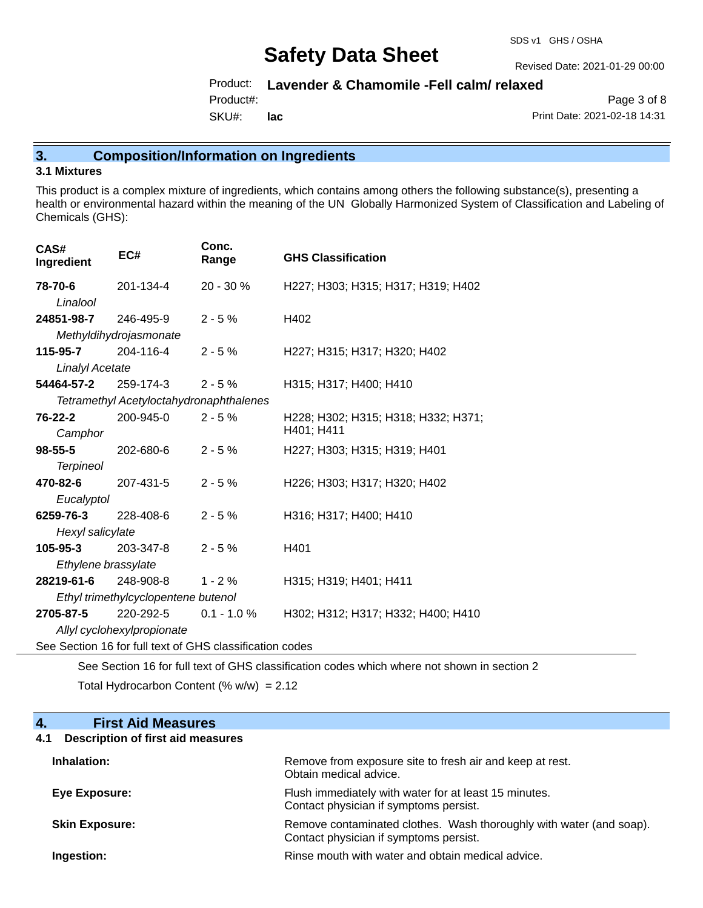Revised Date: 2021-01-29 00:00

## Product: **Lavender & Chamomile -Fell calm/ relaxed**

Product#:

SKU#: **lac**

Page 3 of 8 Print Date: 2021-02-18 14:31

## **3. Composition/Information on Ingredients**

#### **3.1 Mixtures**

This product is a complex mixture of ingredients, which contains among others the following substance(s), presenting a health or environmental hazard within the meaning of the UN Globally Harmonized System of Classification and Labeling of Chemicals (GHS):

| CAS#<br>Ingredient                                       | EC#                                     | Conc.<br>Range | <b>GHS Classification</b>                         |
|----------------------------------------------------------|-----------------------------------------|----------------|---------------------------------------------------|
| 78-70-6                                                  | 201-134-4                               | 20 - 30 %      | H227; H303; H315; H317; H319; H402                |
| Linalool                                                 |                                         |                |                                                   |
| <b>24851-98-7</b> 246-495-9                              |                                         | $2 - 5%$       | H402                                              |
|                                                          | Methyldihydrojasmonate                  |                |                                                   |
| 115-95-7 204-116-4                                       |                                         | $2 - 5%$       | H227; H315; H317; H320; H402                      |
| <b>Linalyl Acetate</b>                                   |                                         |                |                                                   |
| <b>54464-57-2</b> 259-174-3                              |                                         | $2 - 5%$       | H315; H317; H400; H410                            |
|                                                          | Tetramethyl Acetyloctahydronaphthalenes |                |                                                   |
| 76-22-2<br>Camphor                                       | 200-945-0                               | $2 - 5%$       | H228; H302; H315; H318; H332; H371;<br>H401; H411 |
| 98-55-5                                                  | 202-680-6                               | $2 - 5%$       | H227; H303; H315; H319; H401                      |
| <b>Terpineol</b>                                         |                                         |                |                                                   |
| <b>470-82-6</b> 207-431-5                                |                                         | $2 - 5%$       | H226; H303; H317; H320; H402                      |
| Eucalyptol                                               |                                         |                |                                                   |
| 6259-76-3                                                | 228-408-6                               | $2 - 5%$       | H316; H317; H400; H410                            |
|                                                          | Hexyl salicylate                        |                |                                                   |
| 105-95-3 203-347-8                                       |                                         | $2 - 5%$       | H401                                              |
| Ethylene brassylate                                      |                                         |                |                                                   |
| 28219-61-6                                               | 248-908-8                               | $1 - 2%$       | H315; H319; H401; H411                            |
| Ethyl trimethylcyclopentene butenol                      |                                         |                |                                                   |
| 2705-87-5                                                | 220-292-5                               | $0.1 - 1.0 \%$ | H302; H312; H317; H332; H400; H410                |
|                                                          | Allyl cyclohexylpropionate              |                |                                                   |
| See Section 16 for full text of GHS classification codes |                                         |                |                                                   |

See Section 16 for full text of GHS classification codes which where not shown in section 2 Total Hydrocarbon Content (%  $w/w$ ) = 2.12

### **4. First Aid Measures**

## **4.1 Description of first aid measures**

| Inhalation:           | Remove from exposure site to fresh air and keep at rest.<br>Obtain medical advice.                            |
|-----------------------|---------------------------------------------------------------------------------------------------------------|
| Eye Exposure:         | Flush immediately with water for at least 15 minutes.<br>Contact physician if symptoms persist.               |
| <b>Skin Exposure:</b> | Remove contaminated clothes. Wash thoroughly with water (and soap).<br>Contact physician if symptoms persist. |
| Ingestion:            | Rinse mouth with water and obtain medical advice.                                                             |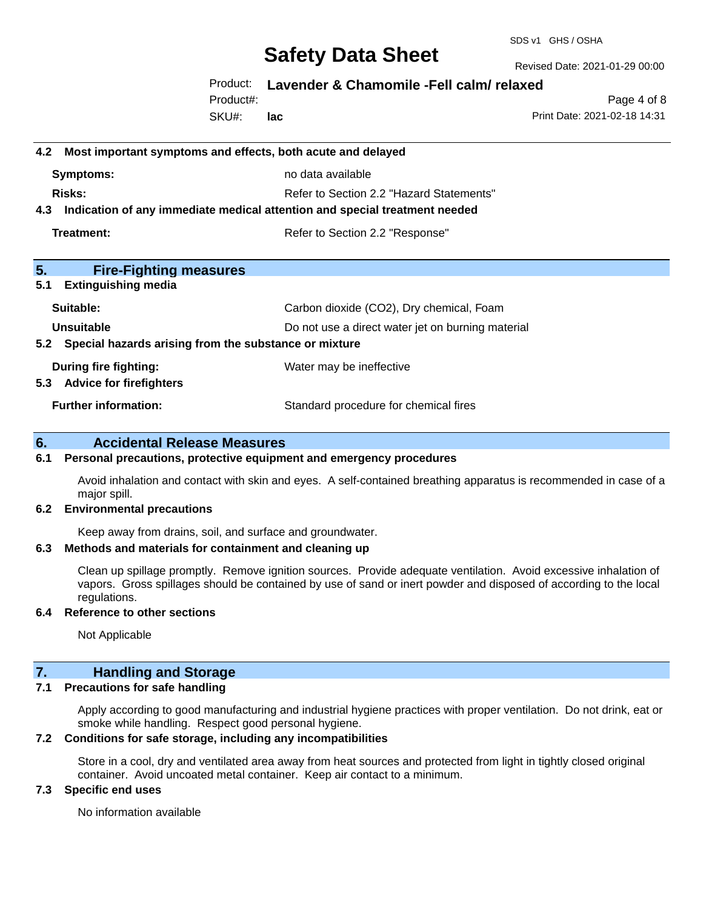SDS v1 GHS / OSHA

Revised Date: 2021-01-29 00:00

### Product: **Lavender & Chamomile -Fell calm/ relaxed**

SKU#: Product#: **lac**

Page 4 of 8 Print Date: 2021-02-18 14:31

| 4.2 Most important symptoms and effects, both acute and delayed                |                                                   |  |
|--------------------------------------------------------------------------------|---------------------------------------------------|--|
| Symptoms:                                                                      | no data available                                 |  |
| Risks:                                                                         | Refer to Section 2.2 "Hazard Statements"          |  |
| 4.3 Indication of any immediate medical attention and special treatment needed |                                                   |  |
| Treatment:                                                                     | Refer to Section 2.2 "Response"                   |  |
|                                                                                |                                                   |  |
| 5.<br><b>Fire-Fighting measures</b>                                            |                                                   |  |
| 5.1<br><b>Extinguishing media</b>                                              |                                                   |  |
| Suitable:                                                                      | Carbon dioxide (CO2), Dry chemical, Foam          |  |
| Unsuitable                                                                     | Do not use a direct water jet on burning material |  |
| 5.2 Special hazards arising from the substance or mixture                      |                                                   |  |
| During fire fighting:                                                          | Water may be ineffective                          |  |
| 5.3 Advice for firefighters                                                    |                                                   |  |
| <b>Further information:</b>                                                    | Standard procedure for chemical fires             |  |

### **6. Accidental Release Measures**

#### **6.1 Personal precautions, protective equipment and emergency procedures**

Avoid inhalation and contact with skin and eyes. A self-contained breathing apparatus is recommended in case of a major spill.

#### **6.2 Environmental precautions**

Keep away from drains, soil, and surface and groundwater.

#### **6.3 Methods and materials for containment and cleaning up**

Clean up spillage promptly. Remove ignition sources. Provide adequate ventilation. Avoid excessive inhalation of vapors. Gross spillages should be contained by use of sand or inert powder and disposed of according to the local regulations.

#### **6.4 Reference to other sections**

Not Applicable

## **7. Handling and Storage**

#### **7.1 Precautions for safe handling**

Apply according to good manufacturing and industrial hygiene practices with proper ventilation. Do not drink, eat or smoke while handling. Respect good personal hygiene.

#### **7.2 Conditions for safe storage, including any incompatibilities**

Store in a cool, dry and ventilated area away from heat sources and protected from light in tightly closed original container. Avoid uncoated metal container. Keep air contact to a minimum.

#### **7.3 Specific end uses**

No information available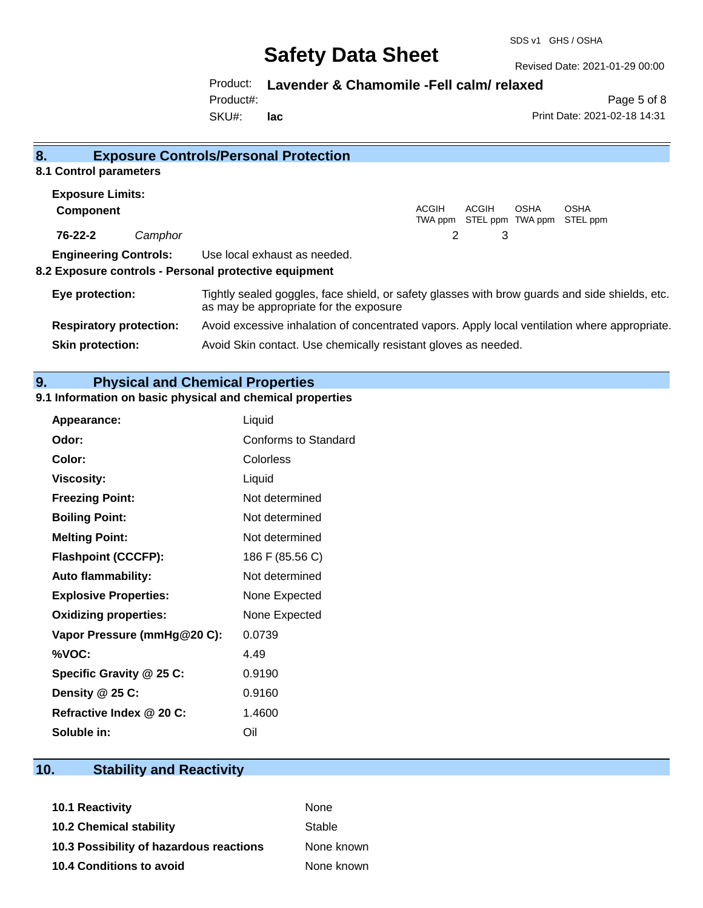Revised Date: 2021-01-29 00:00

## Product: **Lavender & Chamomile -Fell calm/ relaxed**

Product#:

SKU#: **lac**

Page 5 of 8 Print Date: 2021-02-18 14:31

| <b>Exposure Controls/Personal Protection</b><br>8.                                                                                                          |                                                                                      |  |
|-------------------------------------------------------------------------------------------------------------------------------------------------------------|--------------------------------------------------------------------------------------|--|
| 8.1 Control parameters                                                                                                                                      |                                                                                      |  |
| <b>Exposure Limits:</b>                                                                                                                                     |                                                                                      |  |
| Component                                                                                                                                                   | ACGIH<br>ACGIH<br><b>OSHA</b><br><b>OSHA</b><br>STEL ppm TWA ppm STEL ppm<br>TWA ppm |  |
| 76-22-2<br>Camphor                                                                                                                                          | 2<br>3                                                                               |  |
| <b>Engineering Controls:</b>                                                                                                                                | Use local exhaust as needed.                                                         |  |
| 8.2 Exposure controls - Personal protective equipment                                                                                                       |                                                                                      |  |
| Tightly sealed goggles, face shield, or safety glasses with brow guards and side shields, etc.<br>Eye protection:<br>as may be appropriate for the exposure |                                                                                      |  |
| <b>Respiratory protection:</b><br>Avoid excessive inhalation of concentrated vapors. Apply local ventilation where appropriate.                             |                                                                                      |  |
| Avoid Skin contact. Use chemically resistant gloves as needed.<br><b>Skin protection:</b>                                                                   |                                                                                      |  |

## **9. Physical and Chemical Properties**

### **9.1 Information on basic physical and chemical properties**

| Appearance:                  | Liquid               |
|------------------------------|----------------------|
| Odor:                        | Conforms to Standard |
| Color:                       | Colorless            |
| <b>Viscosity:</b>            | Liquid               |
| <b>Freezing Point:</b>       | Not determined       |
| <b>Boiling Point:</b>        | Not determined       |
| <b>Melting Point:</b>        | Not determined       |
| <b>Flashpoint (CCCFP):</b>   | 186 F (85.56 C)      |
| <b>Auto flammability:</b>    | Not determined       |
| <b>Explosive Properties:</b> | None Expected        |
| <b>Oxidizing properties:</b> | None Expected        |
| Vapor Pressure (mmHg@20 C):  | 0.0739               |
| %VOC:                        | 4.49                 |
| Specific Gravity @ 25 C:     | 0.9190               |
| Density @ 25 C:              | 0.9160               |
| Refractive Index @ 20 C:     | 1.4600               |
| Soluble in:                  | Oil                  |

# **10. Stability and Reactivity**

| None       |
|------------|
| Stable     |
| None known |
| None known |
|            |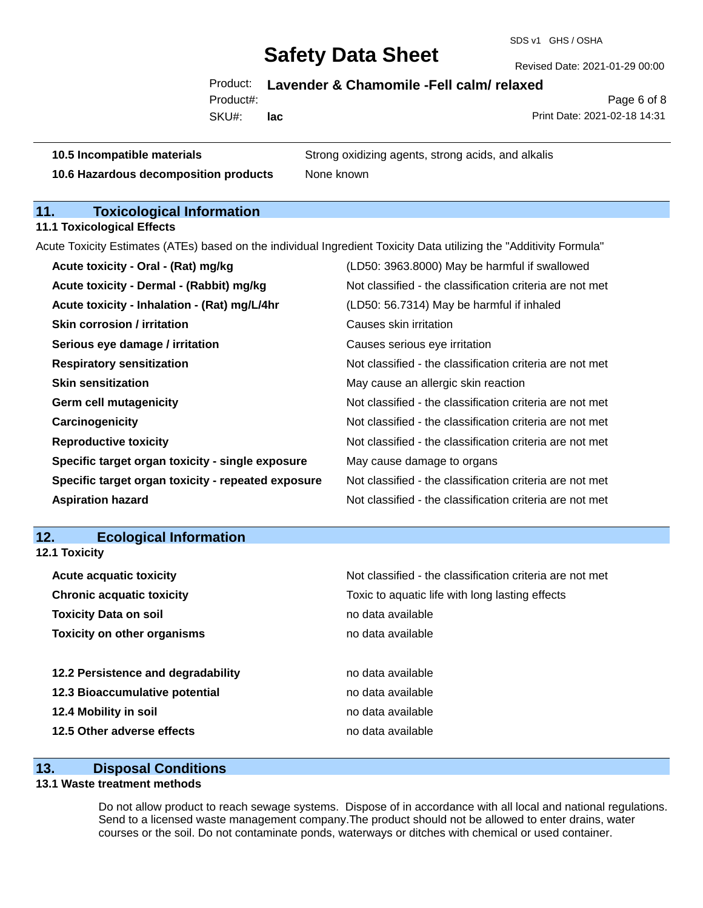SDS v1 GHS / OSHA

Revised Date: 2021-01-29 00:00

## Product: **Lavender & Chamomile -Fell calm/ relaxed**

Product#:

SKU#: **lac**

Page 6 of 8 Print Date: 2021-02-18 14:31

**10.5 Incompatible materials** Strong oxidizing agents, strong acids, and alkalis **10.6 Hazardous decomposition products** None known

# **11. Toxicological Information**

**11.1 Toxicological Effects**

Acute Toxicity Estimates (ATEs) based on the individual Ingredient Toxicity Data utilizing the "Additivity Formula"

| Acute toxicity - Oral - (Rat) mg/kg                | (LD50: 3963.8000) May be harmful if swallowed            |
|----------------------------------------------------|----------------------------------------------------------|
| Acute toxicity - Dermal - (Rabbit) mg/kg           | Not classified - the classification criteria are not met |
| Acute toxicity - Inhalation - (Rat) mg/L/4hr       | (LD50: 56.7314) May be harmful if inhaled                |
| <b>Skin corrosion / irritation</b>                 | Causes skin irritation                                   |
| Serious eye damage / irritation                    | Causes serious eye irritation                            |
| <b>Respiratory sensitization</b>                   | Not classified - the classification criteria are not met |
| <b>Skin sensitization</b>                          | May cause an allergic skin reaction                      |
| <b>Germ cell mutagenicity</b>                      | Not classified - the classification criteria are not met |
| Carcinogenicity                                    | Not classified - the classification criteria are not met |
| <b>Reproductive toxicity</b>                       | Not classified - the classification criteria are not met |
| Specific target organ toxicity - single exposure   | May cause damage to organs                               |
| Specific target organ toxicity - repeated exposure | Not classified - the classification criteria are not met |
| <b>Aspiration hazard</b>                           | Not classified - the classification criteria are not met |

## **12. Ecological Information**

| <b>12.1 Toxicity</b>               |                                                          |  |  |
|------------------------------------|----------------------------------------------------------|--|--|
| <b>Acute acquatic toxicity</b>     | Not classified - the classification criteria are not met |  |  |
| <b>Chronic acquatic toxicity</b>   | Toxic to aquatic life with long lasting effects          |  |  |
| <b>Toxicity Data on soil</b>       | no data available                                        |  |  |
| <b>Toxicity on other organisms</b> | no data available                                        |  |  |
|                                    |                                                          |  |  |
| 12.2 Persistence and degradability | no data available                                        |  |  |
| 12.3 Bioaccumulative potential     | no data available                                        |  |  |
| 12.4 Mobility in soil              | no data available                                        |  |  |
| 12.5 Other adverse effects         | no data available                                        |  |  |

### **13. Disposal Conditions**

## **13.1 Waste treatment methods**

Do not allow product to reach sewage systems. Dispose of in accordance with all local and national regulations. Send to a licensed waste management company.The product should not be allowed to enter drains, water courses or the soil. Do not contaminate ponds, waterways or ditches with chemical or used container.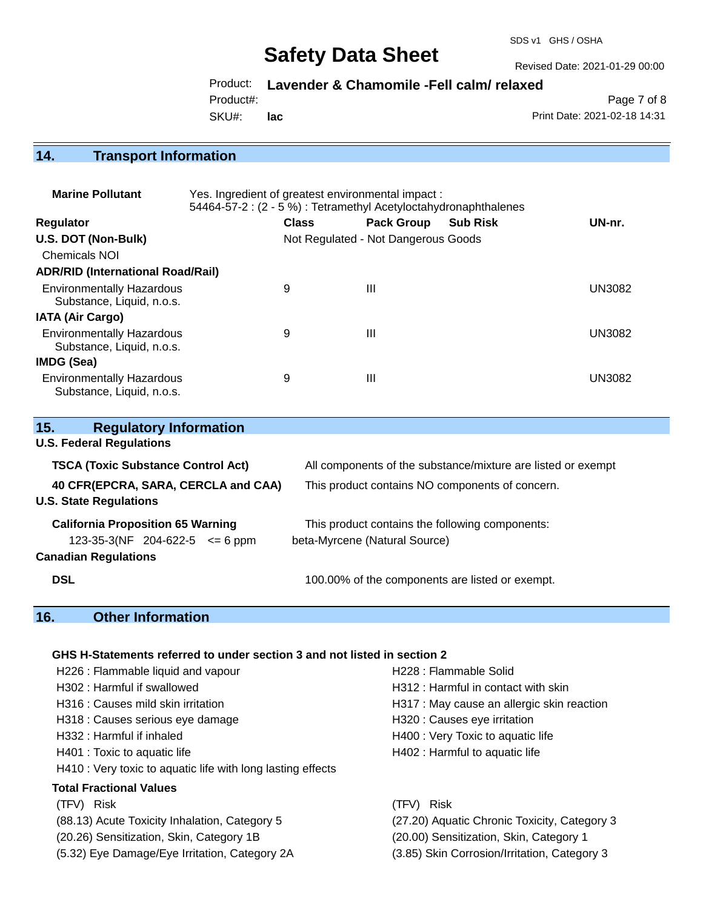SDS v1 GHS / OSHA

Revised Date: 2021-01-29 00:00

Product: **Lavender & Chamomile -Fell calm/ relaxed**

Product#:

SKU#: **lac**

Page 7 of 8 Print Date: 2021-02-18 14:31

## **14. Transport Information**

| <b>Marine Pollutant</b>                                       | Yes. Ingredient of greatest environmental impact:<br>54464-57-2 : (2 - 5 %) : Tetramethyl Acetyloctahydronaphthalenes |                                     |                   |                 |               |
|---------------------------------------------------------------|-----------------------------------------------------------------------------------------------------------------------|-------------------------------------|-------------------|-----------------|---------------|
| <b>Regulator</b>                                              |                                                                                                                       | <b>Class</b>                        | <b>Pack Group</b> | <b>Sub Risk</b> | UN-nr.        |
| U.S. DOT (Non-Bulk)                                           |                                                                                                                       | Not Regulated - Not Dangerous Goods |                   |                 |               |
| <b>Chemicals NOI</b>                                          |                                                                                                                       |                                     |                   |                 |               |
| <b>ADR/RID (International Road/Rail)</b>                      |                                                                                                                       |                                     |                   |                 |               |
| <b>Environmentally Hazardous</b><br>Substance, Liquid, n.o.s. |                                                                                                                       | 9                                   | $\mathbf{III}$    |                 | <b>UN3082</b> |
| <b>IATA (Air Cargo)</b>                                       |                                                                                                                       |                                     |                   |                 |               |
| <b>Environmentally Hazardous</b><br>Substance, Liquid, n.o.s. |                                                                                                                       | 9                                   | $\mathbf{III}$    |                 | <b>UN3082</b> |
| <b>IMDG (Sea)</b>                                             |                                                                                                                       |                                     |                   |                 |               |
| <b>Environmentally Hazardous</b><br>Substance, Liquid, n.o.s. |                                                                                                                       | 9                                   | $\mathbf{III}$    |                 | <b>UN3082</b> |

| 15.<br><b>Regulatory Information</b>                                           |                                                                                  |  |
|--------------------------------------------------------------------------------|----------------------------------------------------------------------------------|--|
| <b>U.S. Federal Regulations</b>                                                |                                                                                  |  |
| <b>TSCA (Toxic Substance Control Act)</b>                                      | All components of the substance/mixture are listed or exempt                     |  |
| 40 CFR(EPCRA, SARA, CERCLA and CAA)<br><b>U.S. State Regulations</b>           | This product contains NO components of concern.                                  |  |
| <b>California Proposition 65 Warning</b><br>123-35-3(NF 204-622-5 $\leq$ 6 ppm | This product contains the following components:<br>beta-Myrcene (Natural Source) |  |
| <b>Canadian Regulations</b><br><b>DSL</b>                                      | 100.00% of the components are listed or exempt.                                  |  |

# **16. Other Information**

#### **GHS H-Statements referred to under section 3 and not listed in section 2**

| H226 : Flammable liquid and vapour                          | H228 : Flammable Solid                       |
|-------------------------------------------------------------|----------------------------------------------|
| H302 : Harmful if swallowed                                 | H312 : Harmful in contact with skin          |
| H316 : Causes mild skin irritation                          | H317 : May cause an allergic skin reaction   |
| H318 : Causes serious eye damage                            | H320 : Causes eye irritation                 |
| H332 : Harmful if inhaled                                   | H400 : Very Toxic to aquatic life            |
| H401 : Toxic to aquatic life                                | H402 : Harmful to aquatic life               |
| H410 : Very toxic to aquatic life with long lasting effects |                                              |
| <b>Total Fractional Values</b>                              |                                              |
| (TFV) Risk                                                  | (TFV) Risk                                   |
| (88.13) Acute Toxicity Inhalation, Category 5               | (27.20) Aquatic Chronic Toxicity, Category 3 |
| (20.26) Sensitization, Skin, Category 1B                    | (20.00) Sensitization, Skin, Category 1      |
| (5.32) Eye Damage/Eye Irritation, Category 2A               | (3.85) Skin Corrosion/Irritation, Category 3 |